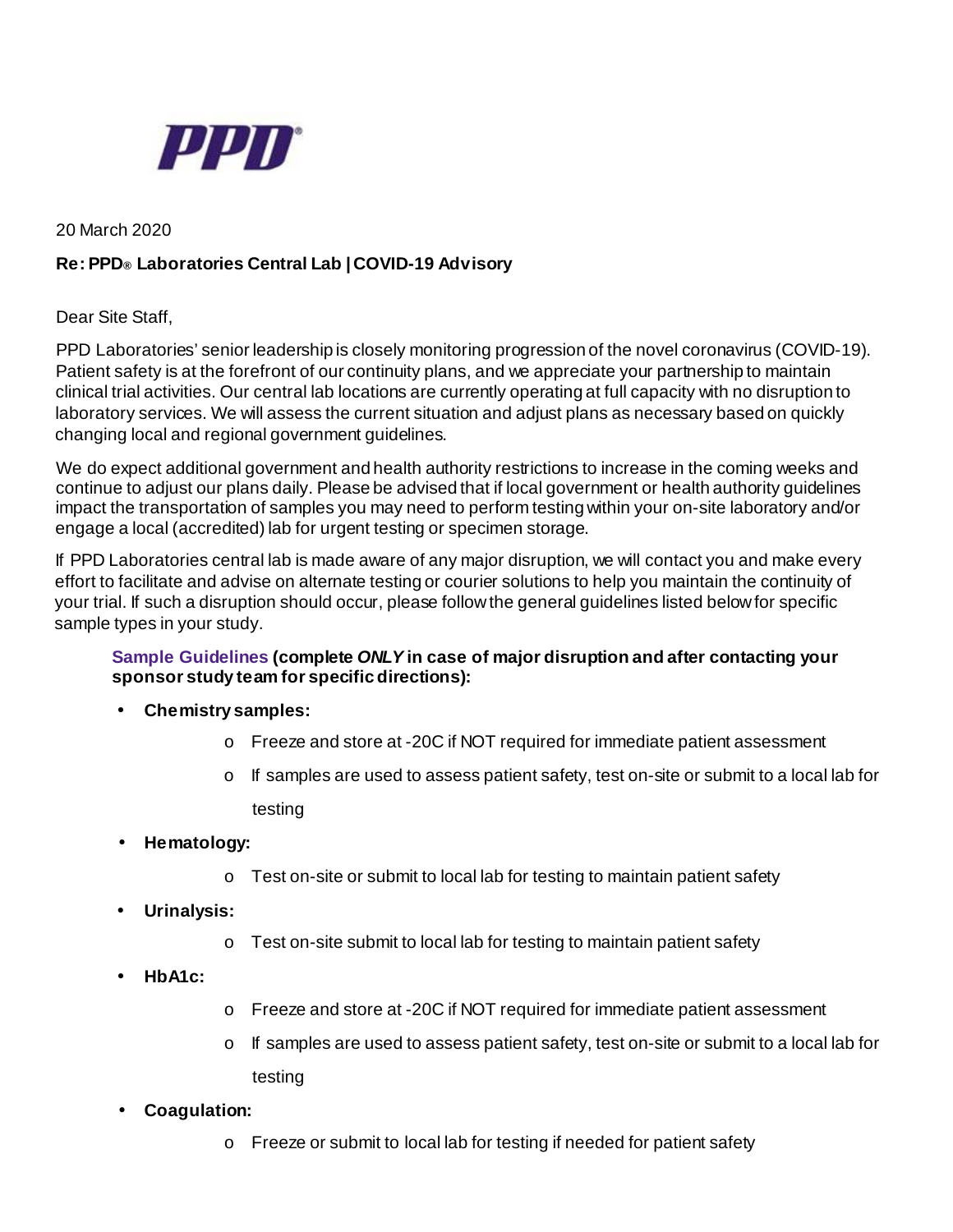

20 March 2020

## **Re: PPD® Laboratories Central Lab | COVID-19 Advisory**

Dear Site Staff,

PPD Laboratories' senior leadership is closely monitoring progression of the novel coronavirus (COVID-19). Patient safety is at the forefront of our continuity plans, and we appreciate your partnership to maintain clinical trial activities. Our central lab locations are currently operating at full capacity with no disruption to laboratory services. We will assess the current situation and adjust plans as necessary based on quickly changing local and regional government guidelines.

We do expect additional government and health authority restrictions to increase in the coming weeks and continue to adjust our plans daily. Please be advised that if local government or health authority guidelines impact the transportation of samples you may need to perform testing within your on-site laboratory and/or engage a local (accredited) lab for urgent testing or specimen storage.

If PPD Laboratories central lab is made aware of any major disruption, we will contact you and make every effort to facilitate and advise on alternate testing or courier solutions to help you maintain the continuity of your trial. If such a disruption should occur, please follow the general guidelines listed belowfor specific sample types in your study.

## **Sample Guidelines (complete** *ONLY* **in case of major disruption and after contacting your sponsor study team for specific directions):**

- **Chemistry samples:**
	- o Freeze and store at -20C if NOT required for immediate patient assessment
	- $\circ$  If samples are used to assess patient safety, test on-site or submit to a local lab for testing
- **Hematology:**
	- o Test on-site or submit to local lab for testing to maintain patient safety
- **Urinalysis:**
	- o Test on-site submit to local lab for testing to maintain patient safety
- **HbA1c:**
- o Freeze and store at -20C if NOT required for immediate patient assessment
- o If samples are used to assess patient safety, test on-site or submit to a local lab for testing
- **Coagulation:**
	- o Freeze or submit to local lab for testing if needed for patient safety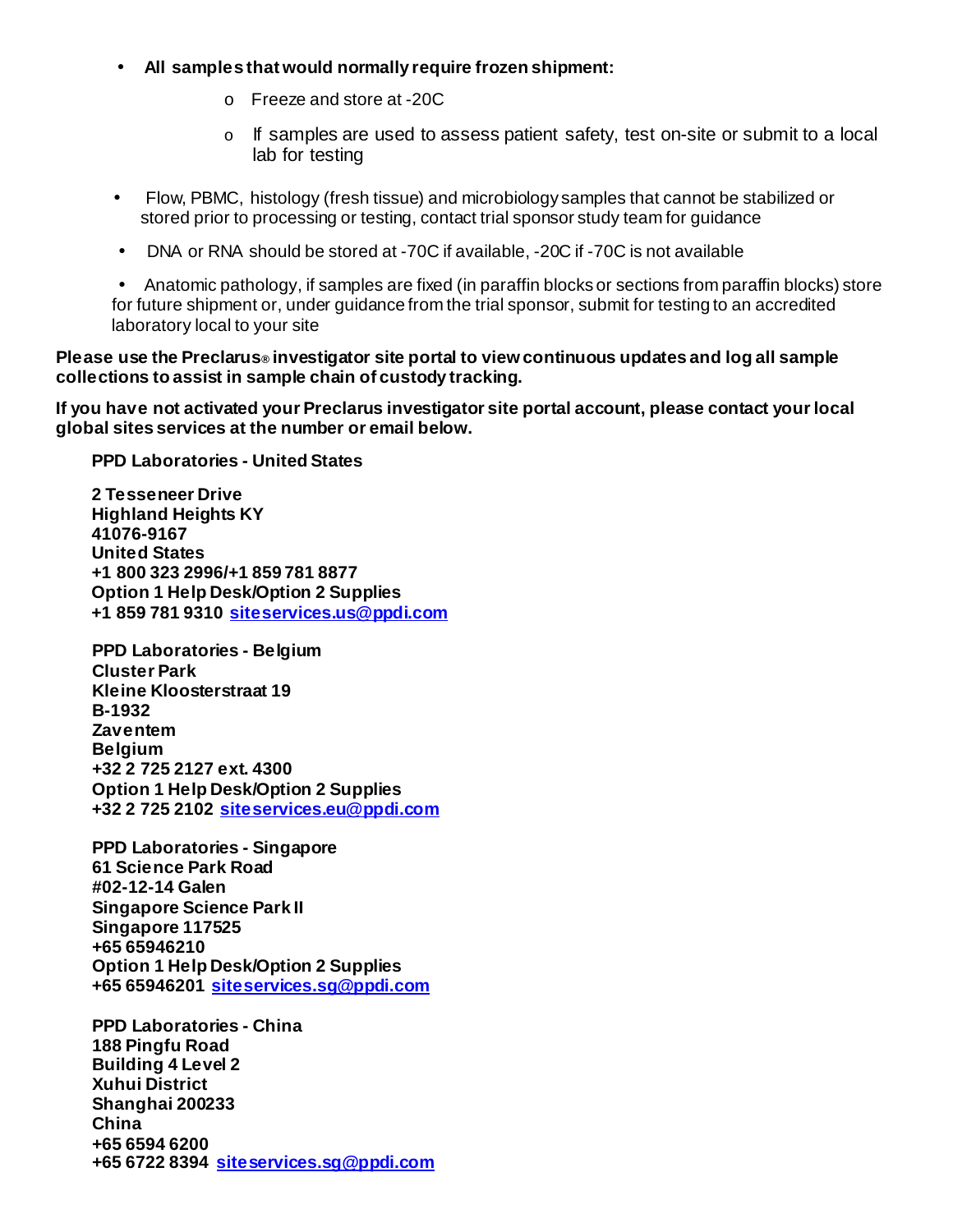- **All samples that would normally require frozen shipment:**
	- o Freeze and store at -20C
	- o If samples are used to assess patient safety, test on-site or submit to a local lab for testing
- Flow, PBMC, histology (fresh tissue) and microbiology samples that cannot be stabilized or stored prior to processing or testing, contact trial sponsor study team for guidance
- DNA or RNA should be stored at -70C if available, -20C if -70C is not available

• Anatomic pathology, if samples are fixed (in paraffin blocks or sections from paraffin blocks) store for future shipment or, under guidance from the trial sponsor, submit for testing to an accredited laboratory local to your site

## **Please use the Preclarus® investigator site portal to view continuous updates and log all sample collections to assist in sample chain of custody tracking.**

**If you have not activated your Preclarus investigator site portal account, please contact yourlocal global sites services at the number or email below.**

**PPD Laboratories - United States**

**2 Tesseneer Drive Highland Heights KY 41076-9167 United States +1 800 323 2996/+1 859 781 8877 Option 1 Help Desk/Option 2 Supplies +1 859 781 9310 [siteservices.us@ppdi.com](mailto:siteservices.us@ppdi.com)**

**PPD Laboratories - Belgium Cluster Park Kleine Kloosterstraat 19 B-1932 Zaventem Belgium +32 2 725 2127 ext. 4300 Option 1 Help Desk/Option 2 Supplies +32 2 725 2102 [siteservices.eu@ppdi.com](mailto:siteservices.eu@ppdi.com)**

**PPD Laboratories - Singapore 61 Science Park Road #02-12-14 Galen Singapore Science Park II Singapore 117525 +65 65946210 Option 1 Help Desk/Option 2 Supplies +65 65946201 [siteservices.sg@ppdi.com](mailto:siteservices.sg@ppdi.com)**

**PPD Laboratories - China 188 Pingfu Road Building 4 Level 2 Xuhui District Shanghai 200233 China +65 6594 6200 +65 6722 8394 [siteservices.sg@ppdi.com](mailto:siteservices.sg@ppdi.com)**